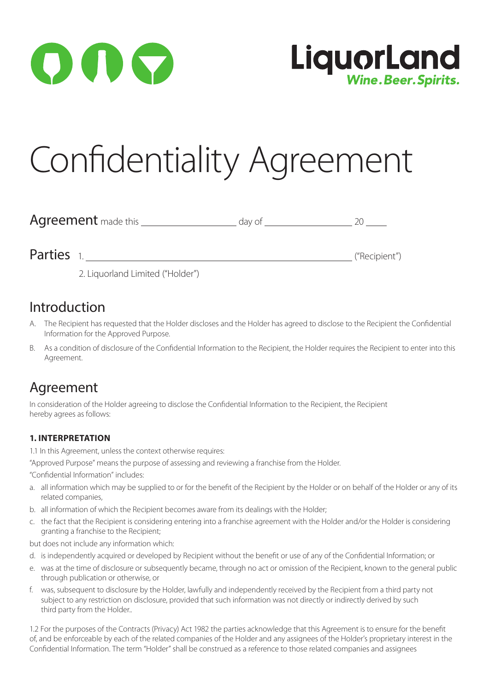



# Confidentiality Agreement

| <b>Agreement</b> made this |  |
|----------------------------|--|
|                            |  |

Parties 1. ("Recipient")

2. Liquorland Limited ("Holder")

## Introduction

- A. The Recipient has requested that the Holder discloses and the Holder has agreed to disclose to the Recipient the Confidential Information for the Approved Purpose.
- B. As a condition of disclosure of the Confidential Information to the Recipient, the Holder requires the Recipient to enter into this Agreement.

# Agreement

In consideration of the Holder agreeing to disclose the Confidential Information to the Recipient, the Recipient hereby agrees as follows:

### **1. INTERPRETATION**

1.1 In this Agreement, unless the context otherwise requires:

"Approved Purpose" means the purpose of assessing and reviewing a franchise from the Holder.

"Confidential Information" includes:

- a. all information which may be supplied to or for the benefit of the Recipient by the Holder or on behalf of the Holder or any of its related companies,
- b. all information of which the Recipient becomes aware from its dealings with the Holder;
- c. the fact that the Recipient is considering entering into a franchise agreement with the Holder and/or the Holder is considering granting a franchise to the Recipient;

but does not include any information which:

- d. is independently acquired or developed by Recipient without the benefit or use of any of the Confidential Information; or
- e. was at the time of disclosure or subsequently became, through no act or omission of the Recipient, known to the general public through publication or otherwise, or
- f. was, subsequent to disclosure by the Holder, lawfully and independently received by the Recipient from a third party not subject to any restriction on disclosure, provided that such information was not directly or indirectly derived by such third party from the Holder..

1.2 For the purposes of the Contracts (Privacy) Act 1982 the parties acknowledge that this Agreement is to ensure for the benefit of, and be enforceable by each of the related companies of the Holder and any assignees of the Holder's proprietary interest in the Confidential Information. The term "Holder" shall be construed as a reference to those related companies and assignees